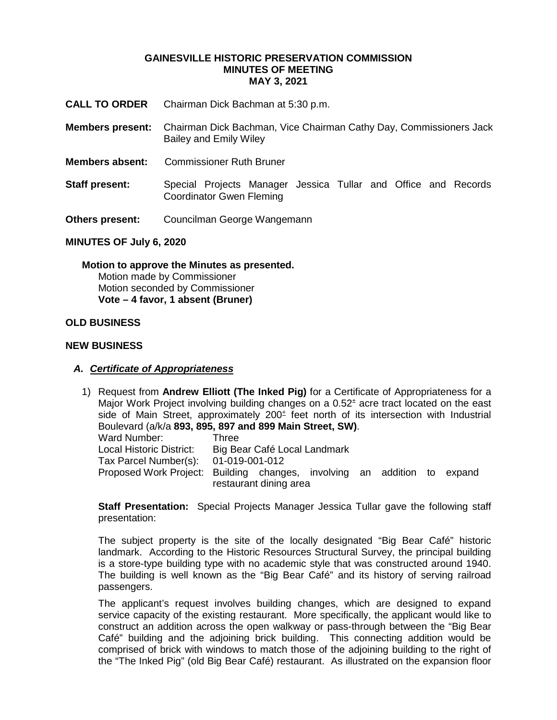#### **GAINESVILLE HISTORIC PRESERVATION COMMISSION MINUTES OF MEETING MAY 3, 2021**

- **CALL TO ORDER** Chairman Dick Bachman at 5:30 p.m.
- **Members present:** Chairman Dick Bachman, Vice Chairman Cathy Day, Commissioners Jack Bailey and Emily Wiley
- **Members absent:** Commissioner Ruth Bruner
- **Staff present:** Special Projects Manager Jessica Tullar and Office and Records Coordinator Gwen Fleming
- **Others present:** Councilman George Wangemann

### **MINUTES OF July 6, 2020**

**Motion to approve the Minutes as presented.** Motion made by Commissioner Motion seconded by Commissioner **Vote – 4 favor, 1 absent (Bruner)** 

## **OLD BUSINESS**

### **NEW BUSINESS**

### *A. Certificate of Appropriateness*

1) Request from **Andrew Elliott (The Inked Pig)** for a Certificate of Appropriateness for a Major Work Project involving building changes on a 0.52± acre tract located on the east side of Main Street, approximately  $200<sup>±</sup>$  feet north of its intersection with Industrial Boulevard (a/k/a **893, 895, 897 and 899 Main Street, SW)**. Ward Number: Three Local Historic District: Big Bear Café Local Landmark Tax Parcel Number(s): 01-019-001-012 Proposed Work Project: Building changes, involving an addition to expand restaurant dining area

**Staff Presentation:** Special Projects Manager Jessica Tullar gave the following staff presentation:

The subject property is the site of the locally designated "Big Bear Café" historic landmark. According to the Historic Resources Structural Survey, the principal building is a store-type building type with no academic style that was constructed around 1940. The building is well known as the "Big Bear Café" and its history of serving railroad passengers.

The applicant's request involves building changes, which are designed to expand service capacity of the existing restaurant. More specifically, the applicant would like to construct an addition across the open walkway or pass-through between the "Big Bear Café" building and the adjoining brick building. This connecting addition would be comprised of brick with windows to match those of the adjoining building to the right of the "The Inked Pig" (old Big Bear Café) restaurant. As illustrated on the expansion floor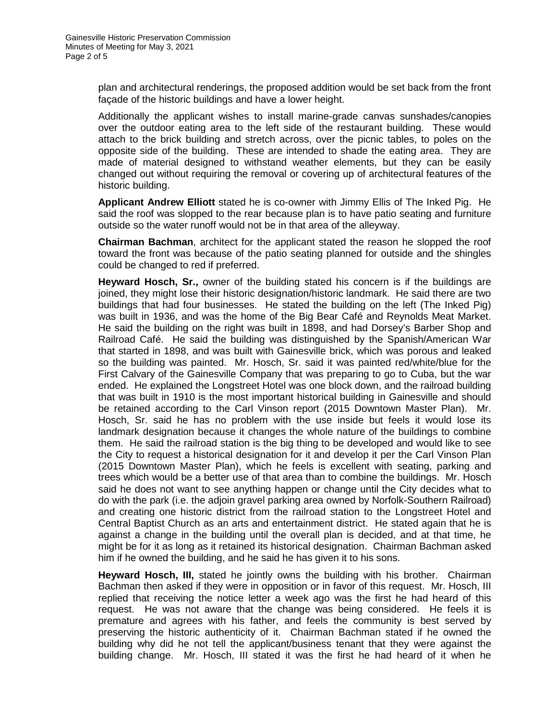plan and architectural renderings, the proposed addition would be set back from the front façade of the historic buildings and have a lower height.

Additionally the applicant wishes to install marine-grade canvas sunshades/canopies over the outdoor eating area to the left side of the restaurant building. These would attach to the brick building and stretch across, over the picnic tables, to poles on the opposite side of the building. These are intended to shade the eating area. They are made of material designed to withstand weather elements, but they can be easily changed out without requiring the removal or covering up of architectural features of the historic building.

**Applicant Andrew Elliott** stated he is co-owner with Jimmy Ellis of The Inked Pig. He said the roof was slopped to the rear because plan is to have patio seating and furniture outside so the water runoff would not be in that area of the alleyway.

**Chairman Bachman**, architect for the applicant stated the reason he slopped the roof toward the front was because of the patio seating planned for outside and the shingles could be changed to red if preferred.

**Heyward Hosch, Sr.,** owner of the building stated his concern is if the buildings are joined, they might lose their historic designation/historic landmark. He said there are two buildings that had four businesses. He stated the building on the left (The Inked Pig) was built in 1936, and was the home of the Big Bear Café and Reynolds Meat Market. He said the building on the right was built in 1898, and had Dorsey's Barber Shop and Railroad Café. He said the building was distinguished by the Spanish/American War that started in 1898, and was built with Gainesville brick, which was porous and leaked so the building was painted. Mr. Hosch, Sr. said it was painted red/white/blue for the First Calvary of the Gainesville Company that was preparing to go to Cuba, but the war ended. He explained the Longstreet Hotel was one block down, and the railroad building that was built in 1910 is the most important historical building in Gainesville and should be retained according to the Carl Vinson report (2015 Downtown Master Plan). Mr. Hosch, Sr. said he has no problem with the use inside but feels it would lose its landmark designation because it changes the whole nature of the buildings to combine them. He said the railroad station is the big thing to be developed and would like to see the City to request a historical designation for it and develop it per the Carl Vinson Plan (2015 Downtown Master Plan), which he feels is excellent with seating, parking and trees which would be a better use of that area than to combine the buildings. Mr. Hosch said he does not want to see anything happen or change until the City decides what to do with the park (i.e. the adjoin gravel parking area owned by Norfolk-Southern Railroad) and creating one historic district from the railroad station to the Longstreet Hotel and Central Baptist Church as an arts and entertainment district. He stated again that he is against a change in the building until the overall plan is decided, and at that time, he might be for it as long as it retained its historical designation. Chairman Bachman asked him if he owned the building, and he said he has given it to his sons.

**Heyward Hosch, III,** stated he jointly owns the building with his brother. Chairman Bachman then asked if they were in opposition or in favor of this request. Mr. Hosch, III replied that receiving the notice letter a week ago was the first he had heard of this request. He was not aware that the change was being considered. He feels it is premature and agrees with his father, and feels the community is best served by preserving the historic authenticity of it. Chairman Bachman stated if he owned the building why did he not tell the applicant/business tenant that they were against the building change. Mr. Hosch, III stated it was the first he had heard of it when he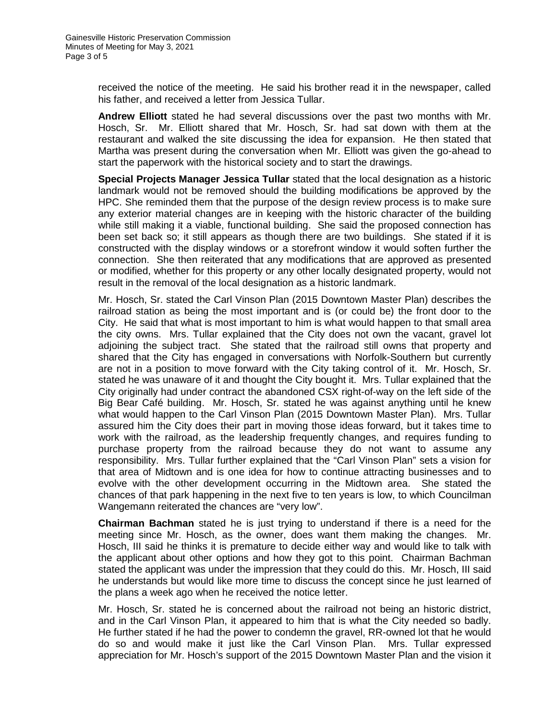received the notice of the meeting. He said his brother read it in the newspaper, called his father, and received a letter from Jessica Tullar.

**Andrew Elliott** stated he had several discussions over the past two months with Mr. Hosch, Sr. Mr. Elliott shared that Mr. Hosch, Sr. had sat down with them at the restaurant and walked the site discussing the idea for expansion. He then stated that Martha was present during the conversation when Mr. Elliott was given the go-ahead to start the paperwork with the historical society and to start the drawings.

**Special Projects Manager Jessica Tullar** stated that the local designation as a historic landmark would not be removed should the building modifications be approved by the HPC. She reminded them that the purpose of the design review process is to make sure any exterior material changes are in keeping with the historic character of the building while still making it a viable, functional building. She said the proposed connection has been set back so; it still appears as though there are two buildings. She stated if it is constructed with the display windows or a storefront window it would soften further the connection. She then reiterated that any modifications that are approved as presented or modified, whether for this property or any other locally designated property, would not result in the removal of the local designation as a historic landmark.

Mr. Hosch, Sr. stated the Carl Vinson Plan (2015 Downtown Master Plan) describes the railroad station as being the most important and is (or could be) the front door to the City. He said that what is most important to him is what would happen to that small area the city owns. Mrs. Tullar explained that the City does not own the vacant, gravel lot adjoining the subject tract. She stated that the railroad still owns that property and shared that the City has engaged in conversations with Norfolk-Southern but currently are not in a position to move forward with the City taking control of it. Mr. Hosch, Sr. stated he was unaware of it and thought the City bought it. Mrs. Tullar explained that the City originally had under contract the abandoned CSX right-of-way on the left side of the Big Bear Café building. Mr. Hosch, Sr. stated he was against anything until he knew what would happen to the Carl Vinson Plan (2015 Downtown Master Plan). Mrs. Tullar assured him the City does their part in moving those ideas forward, but it takes time to work with the railroad, as the leadership frequently changes, and requires funding to purchase property from the railroad because they do not want to assume any responsibility. Mrs. Tullar further explained that the "Carl Vinson Plan" sets a vision for that area of Midtown and is one idea for how to continue attracting businesses and to evolve with the other development occurring in the Midtown area. She stated the chances of that park happening in the next five to ten years is low, to which Councilman Wangemann reiterated the chances are "very low".

**Chairman Bachman** stated he is just trying to understand if there is a need for the meeting since Mr. Hosch, as the owner, does want them making the changes. Mr. Hosch, III said he thinks it is premature to decide either way and would like to talk with the applicant about other options and how they got to this point. Chairman Bachman stated the applicant was under the impression that they could do this. Mr. Hosch, III said he understands but would like more time to discuss the concept since he just learned of the plans a week ago when he received the notice letter.

Mr. Hosch, Sr. stated he is concerned about the railroad not being an historic district, and in the Carl Vinson Plan, it appeared to him that is what the City needed so badly. He further stated if he had the power to condemn the gravel, RR-owned lot that he would do so and would make it just like the Carl Vinson Plan. Mrs. Tullar expressed appreciation for Mr. Hosch's support of the 2015 Downtown Master Plan and the vision it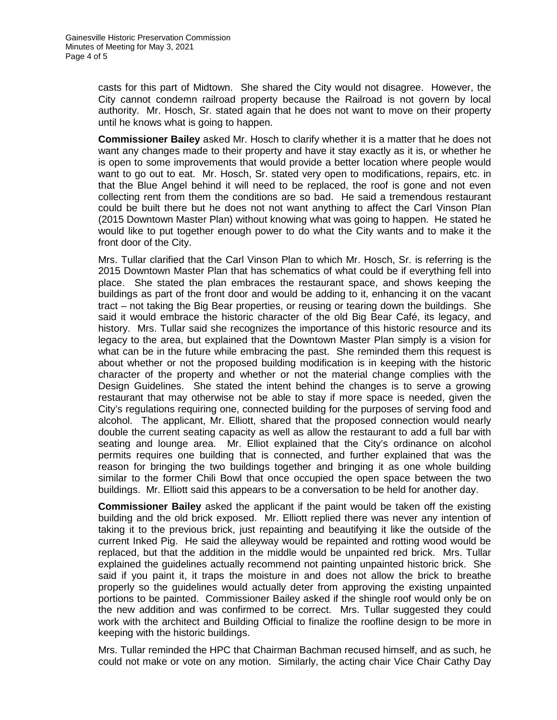casts for this part of Midtown. She shared the City would not disagree. However, the City cannot condemn railroad property because the Railroad is not govern by local authority. Mr. Hosch, Sr. stated again that he does not want to move on their property until he knows what is going to happen.

**Commissioner Bailey** asked Mr. Hosch to clarify whether it is a matter that he does not want any changes made to their property and have it stay exactly as it is, or whether he is open to some improvements that would provide a better location where people would want to go out to eat. Mr. Hosch, Sr. stated very open to modifications, repairs, etc. in that the Blue Angel behind it will need to be replaced, the roof is gone and not even collecting rent from them the conditions are so bad. He said a tremendous restaurant could be built there but he does not not want anything to affect the Carl Vinson Plan (2015 Downtown Master Plan) without knowing what was going to happen. He stated he would like to put together enough power to do what the City wants and to make it the front door of the City.

Mrs. Tullar clarified that the Carl Vinson Plan to which Mr. Hosch, Sr. is referring is the 2015 Downtown Master Plan that has schematics of what could be if everything fell into place. She stated the plan embraces the restaurant space, and shows keeping the buildings as part of the front door and would be adding to it, enhancing it on the vacant tract – not taking the Big Bear properties, or reusing or tearing down the buildings. She said it would embrace the historic character of the old Big Bear Café, its legacy, and history. Mrs. Tullar said she recognizes the importance of this historic resource and its legacy to the area, but explained that the Downtown Master Plan simply is a vision for what can be in the future while embracing the past. She reminded them this request is about whether or not the proposed building modification is in keeping with the historic character of the property and whether or not the material change complies with the Design Guidelines. She stated the intent behind the changes is to serve a growing restaurant that may otherwise not be able to stay if more space is needed, given the City's regulations requiring one, connected building for the purposes of serving food and alcohol. The applicant, Mr. Elliott, shared that the proposed connection would nearly double the current seating capacity as well as allow the restaurant to add a full bar with seating and lounge area. Mr. Elliot explained that the City's ordinance on alcohol permits requires one building that is connected, and further explained that was the reason for bringing the two buildings together and bringing it as one whole building similar to the former Chili Bowl that once occupied the open space between the two buildings. Mr. Elliott said this appears to be a conversation to be held for another day.

**Commissioner Bailey** asked the applicant if the paint would be taken off the existing building and the old brick exposed. Mr. Elliott replied there was never any intention of taking it to the previous brick, just repainting and beautifying it like the outside of the current Inked Pig. He said the alleyway would be repainted and rotting wood would be replaced, but that the addition in the middle would be unpainted red brick. Mrs. Tullar explained the guidelines actually recommend not painting unpainted historic brick. She said if you paint it, it traps the moisture in and does not allow the brick to breathe properly so the guidelines would actually deter from approving the existing unpainted portions to be painted. Commissioner Bailey asked if the shingle roof would only be on the new addition and was confirmed to be correct. Mrs. Tullar suggested they could work with the architect and Building Official to finalize the roofline design to be more in keeping with the historic buildings.

Mrs. Tullar reminded the HPC that Chairman Bachman recused himself, and as such, he could not make or vote on any motion. Similarly, the acting chair Vice Chair Cathy Day